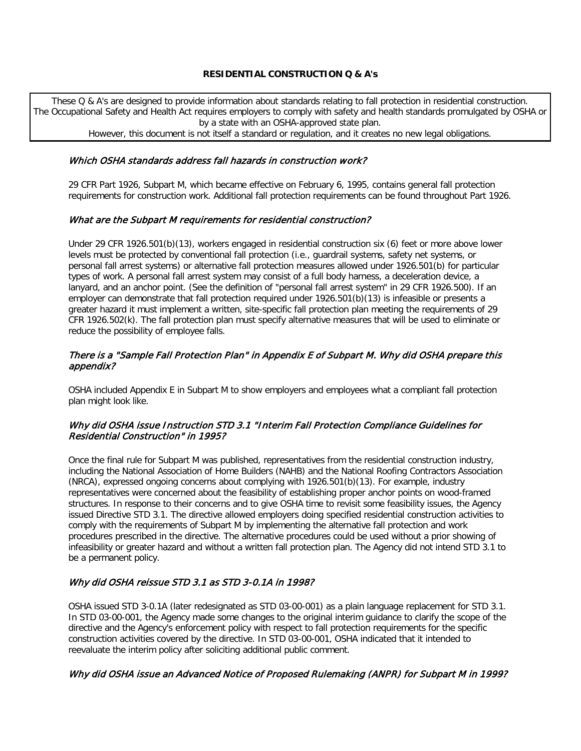### **RESIDENTIAL CONSTRUCTION Q & A's**

These Q & A's are designed to provide information about standards relating to fall protection in residential construction. The Occupational Safety and Health Act requires employers to comply with safety and health standards promulgated by OSHA or by a state with an OSHA-approved state plan.

However, this document is not itself a standard or regulation, and it creates no new legal obligations.

#### Which OSHA standards address fall hazards in construction work?

29 CFR Part 1926, Subpart M, which became effective on February 6, 1995, contains general fall protection requirements for construction work. Additional fall protection requirements can be found throughout Part 1926.

### What are the Subpart M requirements for residential construction?

Under 29 CFR 1926.501(b)(13), workers engaged in residential construction six (6) feet or more above lower levels must be protected by conventional fall protection (i.e., guardrail systems, safety net systems, or personal fall arrest systems) or alternative fall protection measures allowed under 1926.501(b) for particular types of work. A personal fall arrest system may consist of a full body harness, a deceleration device, a lanyard, and an anchor point. (See the definition of "personal fall arrest system" in 29 CFR 1926.500). If an employer can demonstrate that fall protection required under 1926.501(b)(13) is infeasible or presents a greater hazard it must implement a written, site-specific fall protection plan meeting the requirements of 29 CFR 1926.502(k). The fall protection plan must specify alternative measures that will be used to eliminate or reduce the possibility of employee falls.

### There is a "Sample Fall Protection Plan" in Appendix E of Subpart M. Why did OSHA prepare this appendix?

OSHA included Appendix E in Subpart M to show employers and employees what a compliant fall protection plan might look like.

### Why did OSHA issue Instruction STD 3.1 "Interim Fall Protection Compliance Guidelines for Residential Construction" in 1995?

Once the final rule for Subpart M was published, representatives from the residential construction industry, including the National Association of Home Builders (NAHB) and the National Roofing Contractors Association (NRCA), expressed ongoing concerns about complying with 1926.501(b)(13). For example, industry representatives were concerned about the feasibility of establishing proper anchor points on wood-framed structures. In response to their concerns and to give OSHA time to revisit some feasibility issues, the Agency issued Directive STD 3.1. The directive allowed employers doing specified residential construction activities to comply with the requirements of Subpart M by implementing the alternative fall protection and work procedures prescribed in the directive. The alternative procedures could be used without a prior showing of infeasibility or greater hazard and without a written fall protection plan. The Agency did not intend STD 3.1 to be a permanent policy.

### Why did OSHA reissue STD 3.1 as STD 3-0.1A in 1998?

OSHA issued STD 3-0.1A (later redesignated as STD 03-00-001) as a plain language replacement for STD 3.1. In STD 03-00-001, the Agency made some changes to the original interim guidance to clarify the scope of the directive and the Agency's enforcement policy with respect to fall protection requirements for the specific construction activities covered by the directive. In STD 03-00-001, OSHA indicated that it intended to reevaluate the interim policy after soliciting additional public comment.

### Why did OSHA issue an Advanced Notice of Proposed Rulemaking (ANPR) for Subpart M in 1999?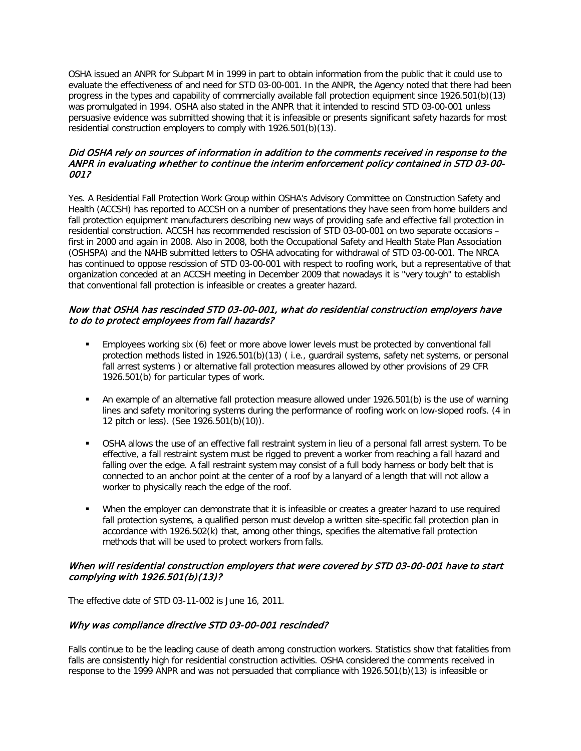OSHA issued an ANPR for Subpart M in 1999 in part to obtain information from the public that it could use to evaluate the effectiveness of and need for STD 03-00-001. In the ANPR, the Agency noted that there had been progress in the types and capability of commercially available fall protection equipment since 1926.501(b)(13) was promulgated in 1994. OSHA also stated in the ANPR that it intended to rescind STD 03-00-001 unless persuasive evidence was submitted showing that it is infeasible or presents significant safety hazards for most residential construction employers to comply with 1926.501(b)(13).

### Did OSHA rely on sources of information in addition to the comments received in response to the ANPR in evaluating whether to continue the interim enforcement policy contained in STD 03-00- 001?

Yes. A Residential Fall Protection Work Group within OSHA's Advisory Committee on Construction Safety and Health (ACCSH) has reported to ACCSH on a number of presentations they have seen from home builders and fall protection equipment manufacturers describing new ways of providing safe and effective fall protection in residential construction. ACCSH has recommended rescission of STD 03-00-001 on two separate occasions – first in 2000 and again in 2008. Also in 2008, both the Occupational Safety and Health State Plan Association (OSHSPA) and the NAHB submitted letters to OSHA advocating for withdrawal of STD 03-00-001. The NRCA has continued to oppose rescission of STD 03-00-001 with respect to roofing work, but a representative of that organization conceded at an ACCSH meeting in December 2009 that nowadays it is "very tough" to establish that conventional fall protection is infeasible or creates a greater hazard.

### Now that OSHA has rescinded STD 03-00-001, what do residential construction employers have to do to protect employees from fall hazards?

- Employees working six (6) feet or more above lower levels must be protected by conventional fall protection methods listed in 1926.501(b)(13) ( i.e., guardrail systems, safety net systems, or personal fall arrest systems ) or alternative fall protection measures allowed by other provisions of 29 CFR 1926.501(b) for particular types of work.
- An example of an alternative fall protection measure allowed under 1926.501(b) is the use of warning lines and safety monitoring systems during the performance of roofing work on low-sloped roofs. (4 in 12 pitch or less). (See 1926.501(b)(10)).
- OSHA allows the use of an effective fall restraint system in lieu of a personal fall arrest system. To be effective, a fall restraint system must be rigged to prevent a worker from reaching a fall hazard and falling over the edge. A fall restraint system may consist of a full body harness or body belt that is connected to an anchor point at the center of a roof by a lanyard of a length that will not allow a worker to physically reach the edge of the roof.
- When the employer can demonstrate that it is infeasible or creates a greater hazard to use required fall protection systems, a qualified person must develop a written site-specific fall protection plan in accordance with 1926.502(k) that, among other things, specifies the alternative fall protection methods that will be used to protect workers from falls.

## When will residential construction employers that were covered by STD 03-00-001 have to start complying with 1926.501(b)(13)?

The effective date of STD 03-11-002 is June 16, 2011.

## Why was compliance directive STD 03-00-001 rescinded?

Falls continue to be the leading cause of death among construction workers. Statistics show that fatalities from falls are consistently high for residential construction activities. OSHA considered the comments received in response to the 1999 ANPR and was not persuaded that compliance with 1926.501(b)(13) is infeasible or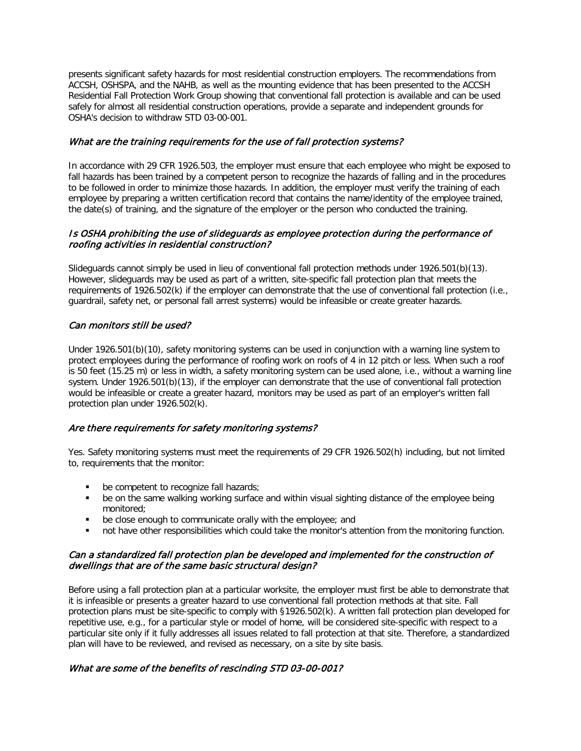presents significant safety hazards for most residential construction employers. The recommendations from ACCSH, OSHSPA, and the NAHB, as well as the mounting evidence that has been presented to the ACCSH Residential Fall Protection Work Group showing that conventional fall protection is available and can be used safely for almost all residential construction operations, provide a separate and independent grounds for OSHA's decision to withdraw STD 03-00-001.

## What are the training requirements for the use of fall protection systems?

In accordance with 29 CFR 1926.503, the employer must ensure that each employee who might be exposed to fall hazards has been trained by a competent person to recognize the hazards of falling and in the procedures to be followed in order to minimize those hazards. In addition, the employer must verify the training of each employee by preparing a written certification record that contains the name/identity of the employee trained, the date(s) of training, and the signature of the employer or the person who conducted the training.

### Is OSHA prohibiting the use of slideguards as employee protection during the performance of roofing activities in residential construction?

Slideguards cannot simply be used in lieu of conventional fall protection methods under 1926.501(b)(13). However, slideguards may be used as part of a written, site-specific fall protection plan that meets the requirements of 1926.502(k) if the employer can demonstrate that the use of conventional fall protection (i.e., guardrail, safety net, or personal fall arrest systems) would be infeasible or create greater hazards.

### Can monitors still be used?

Under 1926.501(b)(10), safety monitoring systems can be used in conjunction with a warning line system to protect employees during the performance of roofing work on roofs of 4 in 12 pitch or less. When such a roof is 50 feet (15.25 m) or less in width, a safety monitoring system can be used alone, i.e., without a warning line system. Under 1926.501(b)(13), if the employer can demonstrate that the use of conventional fall protection would be infeasible or create a greater hazard, monitors may be used as part of an employer's written fall protection plan under 1926.502(k).

## Are there requirements for safety monitoring systems?

Yes. Safety monitoring systems must meet the requirements of 29 CFR 1926.502(h) including, but not limited to, requirements that the monitor:

- **be competent to recognize fall hazards;**
- be on the same walking working surface and within visual sighting distance of the employee being monitored;
- **•** be close enough to communicate orally with the employee; and
- not have other responsibilities which could take the monitor's attention from the monitoring function.

### Can a standardized fall protection plan be developed and implemented for the construction of dwellings that are of the same basic structural design?

Before using a fall protection plan at a particular worksite, the employer must first be able to demonstrate that it is infeasible or presents a greater hazard to use conventional fall protection methods at that site. Fall protection plans must be site-specific to comply with §1926.502(k). A written fall protection plan developed for repetitive use, e.g., for a particular style or model of home, will be considered site-specific with respect to a particular site only if it fully addresses all issues related to fall protection at that site. Therefore, a standardized plan will have to be reviewed, and revised as necessary, on a site by site basis.

### What are some of the benefits of rescinding STD 03-00-001?